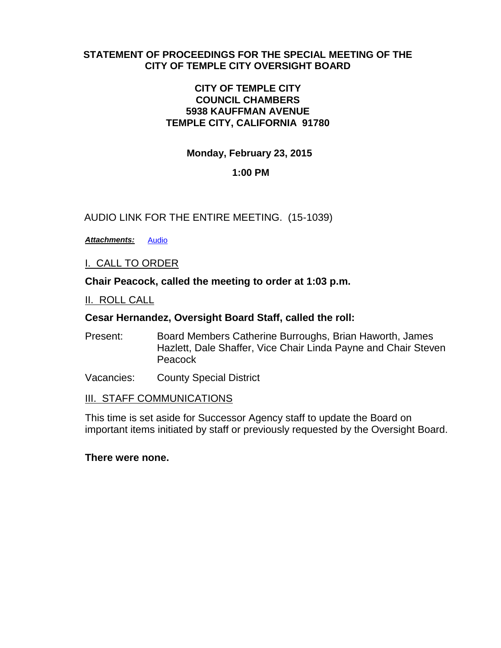### **STATEMENT OF PROCEEDINGS FOR THE SPECIAL MEETING OF THE CITY OF TEMPLE CITY OVERSIGHT BOARD**

### **CITY OF TEMPLE CITY COUNCIL CHAMBERS 5938 KAUFFMAN AVENUE TEMPLE CITY, CALIFORNIA 91780**

**Monday, February 23, 2015**

# **1:00 PM**

# AUDIO LINK FOR THE ENTIRE MEETING. (15-1039)

*Attachments:* [Audio](http://lacounty.govwebcast.com/Presentation/LACounty/c4f37d57-839f-484a-9b35-c9bbafb293e6/02-23-15%20Temple%20City%20Audio.MP3)

I. CALL TO ORDER

**Chair Peacock, called the meeting to order at 1:03 p.m.**

II. ROLL CALL

### **Cesar Hernandez, Oversight Board Staff, called the roll:**

- Present: Board Members Catherine Burroughs, Brian Haworth, James Hazlett, Dale Shaffer, Vice Chair Linda Payne and Chair Steven **Peacock**
- Vacancies: County Special District

#### **III. STAFF COMMUNICATIONS**

This time is set aside for Successor Agency staff to update the Board on important items initiated by staff or previously requested by the Oversight Board.

#### **There were none.**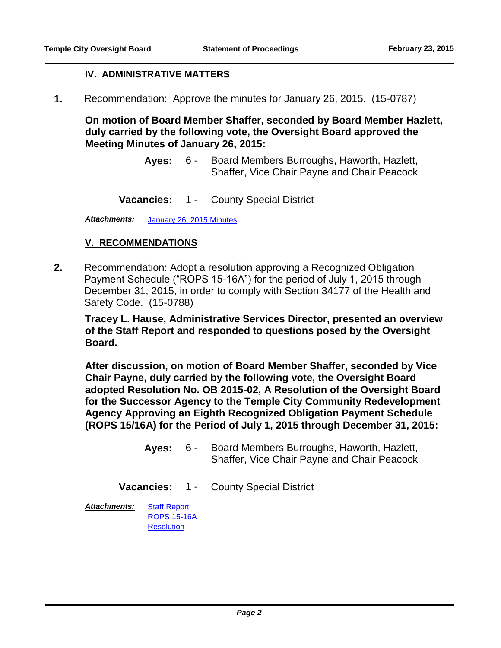### **IV. ADMINISTRATIVE MATTERS**

**1.** Recommendation: Approve the minutes for January 26, 2015. (15-0787)

**On motion of Board Member Shaffer, seconded by Board Member Hazlett, duly carried by the following vote, the Oversight Board approved the Meeting Minutes of January 26, 2015:**

- Aves: 6 Board Members Burroughs, Haworth, Hazlett, Shaffer, Vice Chair Payne and Chair Peacock  $6 -$
- **Vacancies:** 1 County Special District

*Attachments:* [January 26, 2015 Minutes](http://file.lacounty.gov/bos/supdocs/91640.pdf)

#### **V. RECOMMENDATIONS**

**2.** Recommendation: Adopt a resolution approving a Recognized Obligation Payment Schedule ("ROPS 15-16A") for the period of July 1, 2015 through December 31, 2015, in order to comply with Section 34177 of the Health and Safety Code. (15-0788)

**Tracey L. Hause, Administrative Services Director, presented an overview of the Staff Report and responded to questions posed by the Oversight Board.**

**After discussion, on motion of Board Member Shaffer, seconded by Vice Chair Payne, duly carried by the following vote, the Oversight Board adopted Resolution No. OB 2015-02, A Resolution of the Oversight Board for the Successor Agency to the Temple City Community Redevelopment Agency Approving an Eighth Recognized Obligation Payment Schedule (ROPS 15/16A) for the Period of July 1, 2015 through December 31, 2015:**

- Aves: 6 Board Members Burroughs, Haworth, Hazlett, Shaffer, Vice Chair Payne and Chair Peacock  $6 -$
- **Vacancies:** 1 County Special District

*Attachments:* [Staff Report](http://file.lacounty.gov/bos/supdocs/91642.pdf) [ROPS 15-16A](http://file.lacounty.gov/bos/supdocs/91643.pdf) **[Resolution](http://file.lacounty.gov/bos/supdocs/91644.pdf)**